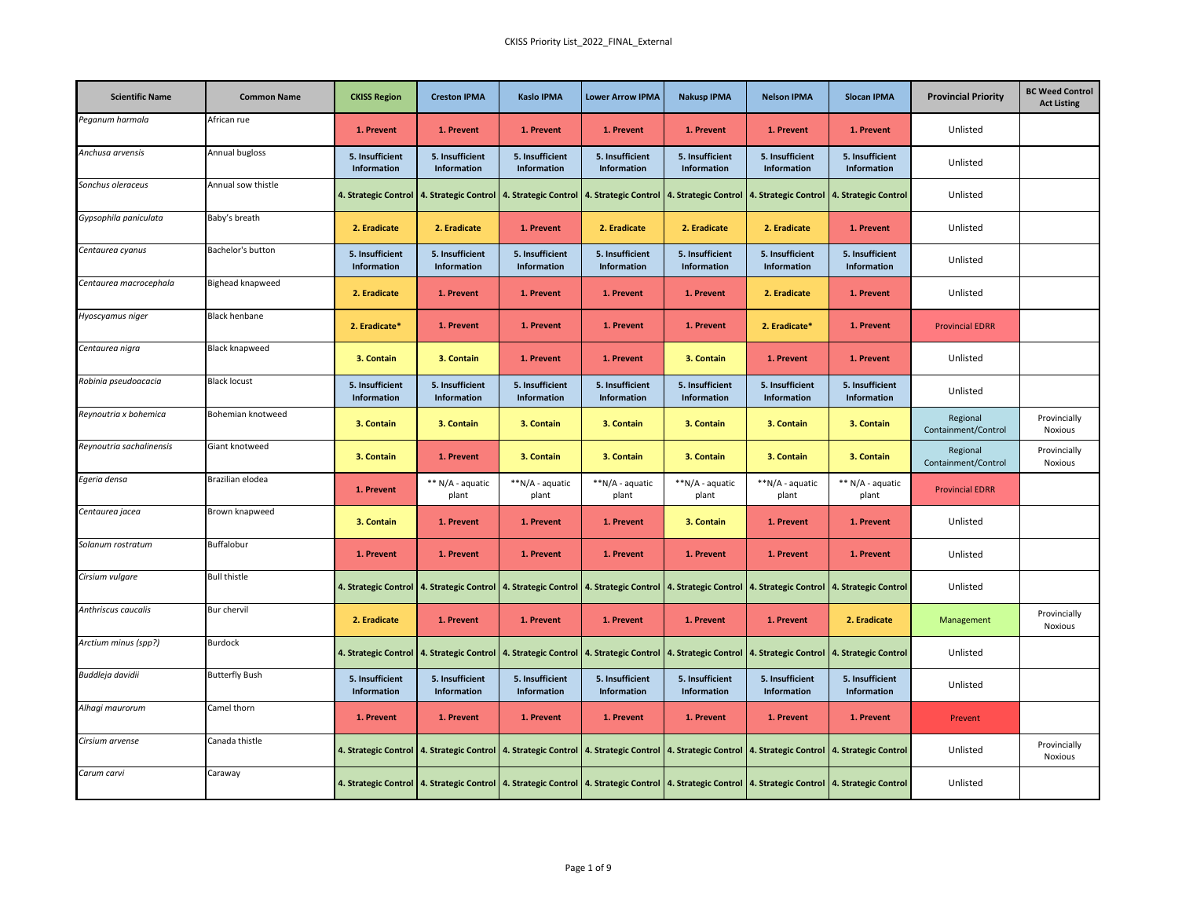| <b>Scientific Name</b>   | <b>Common Name</b>    | <b>CKISS Region</b>            | <b>Creston IPMA</b>            | <b>Kaslo IPMA</b>              | <b>Lower Arrow IPMA</b>        | <b>Nakusp IPMA</b>             | <b>Nelson IPMA</b>                                                                                                                                                                                                             | <b>Slocan IPMA</b>             | <b>Provincial Priority</b>      | <b>BC Weed Control</b><br><b>Act Listing</b> |
|--------------------------|-----------------------|--------------------------------|--------------------------------|--------------------------------|--------------------------------|--------------------------------|--------------------------------------------------------------------------------------------------------------------------------------------------------------------------------------------------------------------------------|--------------------------------|---------------------------------|----------------------------------------------|
| Peganum harmala          | African rue           | 1. Prevent                     | 1. Prevent                     | 1. Prevent                     | 1. Prevent                     | 1. Prevent                     | 1. Prevent                                                                                                                                                                                                                     | 1. Prevent                     | Unlisted                        |                                              |
| Anchusa arvensis         | Annual bugloss        | 5. Insufficient<br>Information | 5. Insufficient<br>Information | 5. Insufficient<br>Information | 5. Insufficient<br>Information | 5. Insufficient<br>Information | 5. Insufficient<br>Information                                                                                                                                                                                                 | 5. Insufficient<br>Information | Unlisted                        |                                              |
| Sonchus oleraceus        | Annual sow thistle    |                                |                                |                                |                                |                                | 4. Strategic Control   4. Strategic Control   4. Strategic Control   4. Strategic Control   4. Strategic Control   4. Strategic Control   4. Strategic Control   4. Strategic Control   4. Strategic Control   4. Strategic Co |                                | Unlisted                        |                                              |
| Gypsophila paniculata    | Baby's breath         | 2. Eradicate                   | 2. Eradicate                   | 1. Prevent                     | 2. Eradicate                   | 2. Eradicate                   | 2. Eradicate                                                                                                                                                                                                                   | 1. Prevent                     | Unlisted                        |                                              |
| Centaurea cyanus         | Bachelor's button     | 5. Insufficient<br>Information | 5. Insufficient<br>Information | 5. Insufficient<br>Information | 5. Insufficient<br>Information | 5. Insufficient<br>Information | 5. Insufficient<br>Information                                                                                                                                                                                                 | 5. Insufficient<br>Information | Unlisted                        |                                              |
| Centaurea macrocephala   | Bighead knapweed      | 2. Eradicate                   | 1. Prevent                     | 1. Prevent                     | 1. Prevent                     | 1. Prevent                     | 2. Eradicate                                                                                                                                                                                                                   | 1. Prevent                     | Unlisted                        |                                              |
| Hyoscyamus niger         | <b>Black henbane</b>  | 2. Eradicate*                  | 1. Prevent                     | 1. Prevent                     | 1. Prevent                     | 1. Prevent                     | 2. Eradicate*                                                                                                                                                                                                                  | 1. Prevent                     | <b>Provincial EDRR</b>          |                                              |
| Centaurea nigra          | <b>Black knapweed</b> | 3. Contain                     | 3. Contain                     | 1. Prevent                     | 1. Prevent                     | 3. Contain                     | 1. Prevent                                                                                                                                                                                                                     | 1. Prevent                     | Unlisted                        |                                              |
| Robinia pseudoacacia     | <b>Black locust</b>   | 5. Insufficient<br>Information | 5. Insufficient<br>Information | 5. Insufficient<br>Information | 5. Insufficient<br>Information | 5. Insufficient<br>Information | 5. Insufficient<br>Information                                                                                                                                                                                                 | 5. Insufficient<br>Information | Unlisted                        |                                              |
| Reynoutria x bohemica    | Bohemian knotweed     | 3. Contain                     | 3. Contain                     | 3. Contain                     | 3. Contain                     | 3. Contain                     | 3. Contain                                                                                                                                                                                                                     | 3. Contain                     | Regional<br>Containment/Control | Provincially<br>Noxious                      |
| Reynoutria sachalinensis | Giant knotweed        | 3. Contain                     | 1. Prevent                     | 3. Contain                     | 3. Contain                     | 3. Contain                     | 3. Contain                                                                                                                                                                                                                     | 3. Contain                     | Regional<br>Containment/Control | Provincially<br><b>Noxious</b>               |
| Egeria densa             | Brazilian elodea      | 1. Prevent                     | ** N/A - aquatic<br>plant      | **N/A - aquatic<br>plant       | **N/A - aquatic<br>plant       | **N/A - aquatic<br>plant       | **N/A - aquatic<br>plant                                                                                                                                                                                                       | ** N/A - aquatic<br>plant      | <b>Provincial EDRR</b>          |                                              |
| Centaurea jacea          | Brown knapweed        | 3. Contain                     | 1. Prevent                     | 1. Prevent                     | 1. Prevent                     | 3. Contain                     | 1. Prevent                                                                                                                                                                                                                     | 1. Prevent                     | Unlisted                        |                                              |
| Solanum rostratum        | Buffalobur            | 1. Prevent                     | 1. Prevent                     | 1. Prevent                     | 1. Prevent                     | 1. Prevent                     | 1. Prevent                                                                                                                                                                                                                     | 1. Prevent                     | Unlisted                        |                                              |
| Cirsium vulgare          | <b>Bull thistle</b>   |                                |                                |                                |                                |                                | 4. Strategic Control   4. Strategic Control   4. Strategic Control   4. Strategic Control   4. Strategic Control   4. Strategic Control   4. Strategic Control   4. Strategic Control                                          |                                | Unlisted                        |                                              |
| Anthriscus caucalis      | Bur chervil           | 2. Eradicate                   | 1. Prevent                     | 1. Prevent                     | 1. Prevent                     | 1. Prevent                     | 1. Prevent                                                                                                                                                                                                                     | 2. Eradicate                   | Management                      | Provincially<br>Noxious                      |
| Arctium minus (spp?)     | <b>Burdock</b>        |                                |                                |                                |                                |                                | 4. Strategic Control   4. Strategic Control   4. Strategic Control   4. Strategic Control   4. Strategic Control   4. Strategic Control   4. Strategic Control   4. Strategic Control                                          |                                | Unlisted                        |                                              |
| Buddleja davidii         | <b>Butterfly Bush</b> | 5. Insufficient<br>Information | 5. Insufficient<br>Information | 5. Insufficient<br>Information | 5. Insufficient<br>Information | 5. Insufficient<br>Information | 5. Insufficient<br>Information                                                                                                                                                                                                 | 5. Insufficient<br>Information | Unlisted                        |                                              |
| Alhagi maurorum          | Camel thorn           | 1. Prevent                     | 1. Prevent                     | 1. Prevent                     | 1. Prevent                     | 1. Prevent                     | 1. Prevent                                                                                                                                                                                                                     | 1. Prevent                     | Prevent                         |                                              |
| Cirsium arvense          | Canada thistle        |                                |                                |                                |                                |                                | 4. Strategic Control   4. Strategic Control   4. Strategic Control   4. Strategic Control   4. Strategic Control   4. Strategic Control   4. Strategic Control   4. Strategic Control                                          |                                | Unlisted                        | Provincially<br><b>Noxious</b>               |
| Carum carvi              | Caraway               |                                |                                |                                |                                |                                | 4. Strategic Control   4. Strategic Control   4. Strategic Control   4. Strategic Control   4. Strategic Control   4. Strategic Control   4. Strategic Control   4. Strategic Control   4. Strategic Control   4. Strategic Co |                                | Unlisted                        |                                              |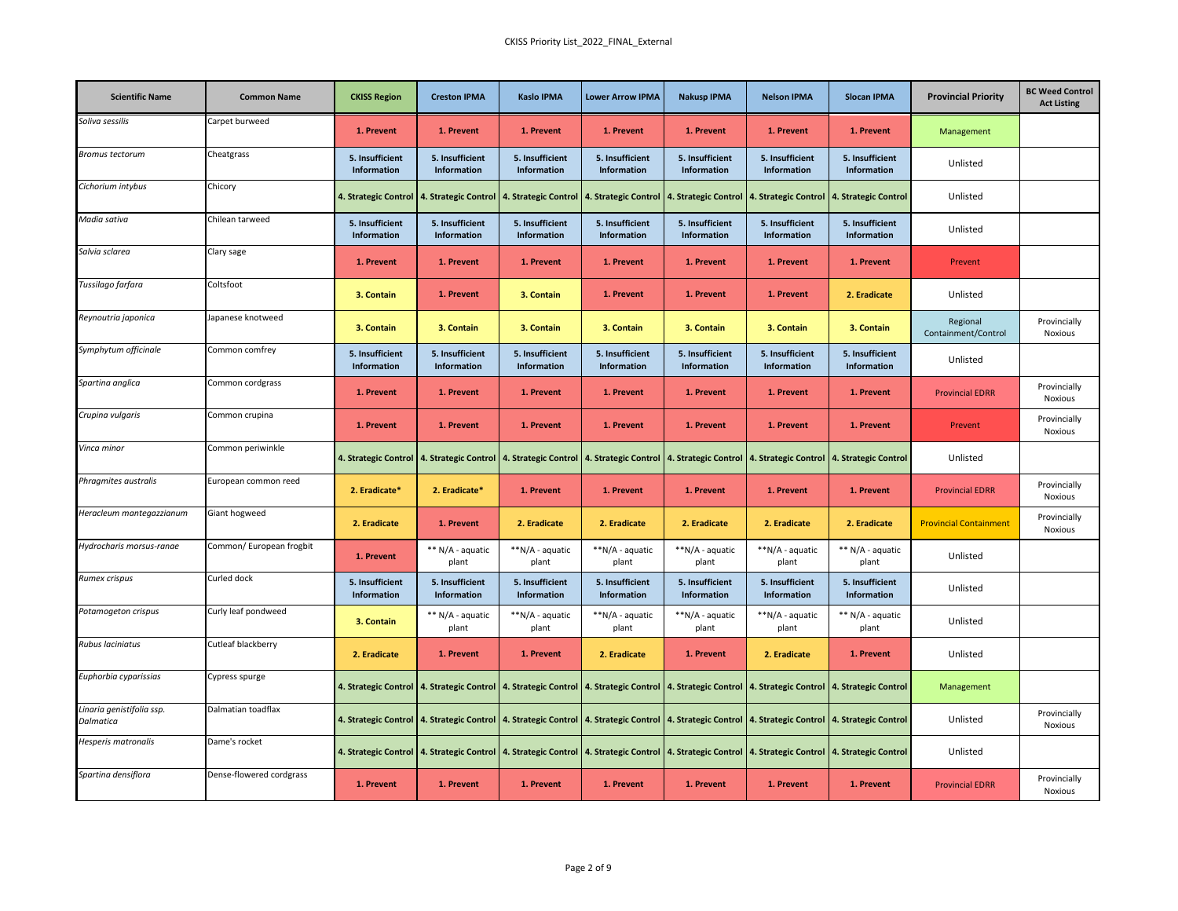| <b>Scientific Name</b>                 | <b>Common Name</b>       | <b>CKISS Region</b>            | <b>Creston IPMA</b>            | <b>Kaslo IPMA</b>              | <b>Lower Arrow IPMA</b>                                                             | <b>Nakusp IPMA</b>             | <b>Nelson IPMA</b>                                                                                                                                                                                                             | <b>Slocan IPMA</b>             | <b>Provincial Priority</b>      | <b>BC Weed Control</b><br><b>Act Listing</b> |
|----------------------------------------|--------------------------|--------------------------------|--------------------------------|--------------------------------|-------------------------------------------------------------------------------------|--------------------------------|--------------------------------------------------------------------------------------------------------------------------------------------------------------------------------------------------------------------------------|--------------------------------|---------------------------------|----------------------------------------------|
| Soliva sessilis                        | Carpet burweed           | 1. Prevent                     | 1. Prevent                     | 1. Prevent                     | 1. Prevent                                                                          | 1. Prevent                     | 1. Prevent                                                                                                                                                                                                                     | 1. Prevent                     | Management                      |                                              |
| Bromus tectorum                        | Cheatgrass               | 5. Insufficient<br>Information | 5. Insufficient<br>Information | 5. Insufficient<br>Information | 5. Insufficient<br>Information                                                      | 5. Insufficient<br>Information | 5. Insufficient<br>Information                                                                                                                                                                                                 | 5. Insufficient<br>Information | Unlisted                        |                                              |
| Cichorium intybus                      | Chicory                  |                                |                                |                                | 4. Strategic Control 4. Strategic Control 4. Strategic Control 4. Strategic Control |                                | 4. Strategic Control   4. Strategic Control   4. Strategic Control                                                                                                                                                             |                                | Unlisted                        |                                              |
| Madia sativa                           | Chilean tarweed          | 5. Insufficient<br>Information | 5. Insufficient<br>Information | 5. Insufficient<br>Information | 5. Insufficient<br>Information                                                      | 5. Insufficient<br>Information | 5. Insufficient<br>Information                                                                                                                                                                                                 | 5. Insufficient<br>Information | Unlisted                        |                                              |
| Salvia sclarea                         | Clary sage               | 1. Prevent                     | 1. Prevent                     | 1. Prevent                     | 1. Prevent                                                                          | 1. Prevent                     | 1. Prevent                                                                                                                                                                                                                     | 1. Prevent                     | Prevent                         |                                              |
| Tussilago farfara                      | Coltsfoot                | 3. Contain                     | 1. Prevent                     | 3. Contain                     | 1. Prevent                                                                          | 1. Prevent                     | 1. Prevent                                                                                                                                                                                                                     | 2. Eradicate                   | Unlisted                        |                                              |
| Reynoutria japonica                    | Japanese knotweed        | 3. Contain                     | 3. Contain                     | 3. Contain                     | 3. Contain                                                                          | 3. Contain                     | 3. Contain                                                                                                                                                                                                                     | 3. Contain                     | Regional<br>Containment/Control | Provincially<br><b>Noxious</b>               |
| Symphytum officinale                   | Common comfrey           | 5. Insufficient<br>Information | 5. Insufficient<br>Information | 5. Insufficient<br>Information | 5. Insufficient<br>Information                                                      | 5. Insufficient<br>Information | 5. Insufficient<br>Information                                                                                                                                                                                                 | 5. Insufficient<br>Information | Unlisted                        |                                              |
| Spartina anglica                       | Common cordgrass         | 1. Prevent                     | 1. Prevent                     | 1. Prevent                     | 1. Prevent                                                                          | 1. Prevent                     | 1. Prevent                                                                                                                                                                                                                     | 1. Prevent                     | <b>Provincial EDRR</b>          | Provincially<br>Noxious                      |
| Crupina vulgaris                       | Common crupina           | 1. Prevent                     | 1. Prevent                     | 1. Prevent                     | 1. Prevent                                                                          | 1. Prevent                     | 1. Prevent                                                                                                                                                                                                                     | 1. Prevent                     | Prevent                         | Provincially<br><b>Noxious</b>               |
| Vinca minor                            | Common periwinkle        |                                |                                |                                |                                                                                     |                                | 4. Strategic Control   4. Strategic Control   4. Strategic Control   4. Strategic Control   4. Strategic Control   4. Strategic Control   4. Strategic Control   4. Strategic Control   4. Strategic Control   4. Strategic Co |                                | Unlisted                        |                                              |
| Phragmites australis                   | European common reed     | 2. Eradicate*                  | 2. Eradicate*                  | 1. Prevent                     | 1. Prevent                                                                          | 1. Prevent                     | 1. Prevent                                                                                                                                                                                                                     | 1. Prevent                     | <b>Provincial EDRR</b>          | Provincially<br>Noxious                      |
| Heracleum mantegazzianum               | Giant hogweed            | 2. Eradicate                   | 1. Prevent                     | 2. Eradicate                   | 2. Eradicate                                                                        | 2. Eradicate                   | 2. Eradicate                                                                                                                                                                                                                   | 2. Eradicate                   | <b>Provincial Containment</b>   | Provincially<br>Noxious                      |
| Hydrocharis morsus-ranae               | Common/ European frogbit | 1. Prevent                     | ** N/A - aquatic<br>plant      | **N/A - aquatic<br>plant       | **N/A - aquatic<br>plant                                                            | **N/A - aquatic<br>plant       | **N/A - aquatic<br>plant                                                                                                                                                                                                       | ** N/A - aquatic<br>plant      | Unlisted                        |                                              |
| Rumex crispus                          | Curled dock              | 5. Insufficient<br>Information | 5. Insufficient<br>Information | 5. Insufficient<br>Information | 5. Insufficient<br>Information                                                      | 5. Insufficient<br>Information | 5. Insufficient<br>Information                                                                                                                                                                                                 | 5. Insufficient<br>Information | Unlisted                        |                                              |
| Potamogeton crispus                    | Curly leaf pondweed      | 3. Contain                     | ** N/A - aquatic<br>plant      | **N/A - aquatic<br>plant       | **N/A - aquatic<br>plant                                                            | **N/A - aquatic<br>plant       | **N/A - aquatic<br>plant                                                                                                                                                                                                       | ** N/A - aquatic<br>plant      | Unlisted                        |                                              |
| Rubus laciniatus                       | Cutleaf blackberry       | 2. Eradicate                   | 1. Prevent                     | 1. Prevent                     | 2. Eradicate                                                                        | 1. Prevent                     | 2. Eradicate                                                                                                                                                                                                                   | 1. Prevent                     | Unlisted                        |                                              |
| Euphorbia cyparissias                  | Cypress spurge           |                                |                                |                                |                                                                                     |                                | 4. Strategic Control   4. Strategic Control   4. Strategic Control   4. Strategic Control   4. Strategic Control   4. Strategic Control   4. Strategic Control   4. Strategic Control   4. Strategic Control   4. Strategic Co |                                | Management                      |                                              |
| Linaria genistifolia ssp.<br>Dalmatica | Dalmatian toadflax       |                                |                                |                                |                                                                                     |                                | 4. Strategic Control   4. Strategic Control   4. Strategic Control   4. Strategic Control   4. Strategic Control   4. Strategic Control   4. Strategic Control   4. Strategic Control                                          |                                | Unlisted                        | Provincially<br><b>Noxious</b>               |
| Hesperis matronalis                    | Dame's rocket            |                                |                                |                                |                                                                                     |                                | 4. Strategic Control   4. Strategic Control   4. Strategic Control   4. Strategic Control   4. Strategic Control   4. Strategic Control   4. Strategic Control   4. Strategic Control   4. Strategic Control   4. Strategic Co |                                | Unlisted                        |                                              |
| Spartina densiflora                    | Dense-flowered cordgrass | 1. Prevent                     | 1. Prevent                     | 1. Prevent                     | 1. Prevent                                                                          | 1. Prevent                     | 1. Prevent                                                                                                                                                                                                                     | 1. Prevent                     | <b>Provincial EDRR</b>          | Provincially<br>Noxious                      |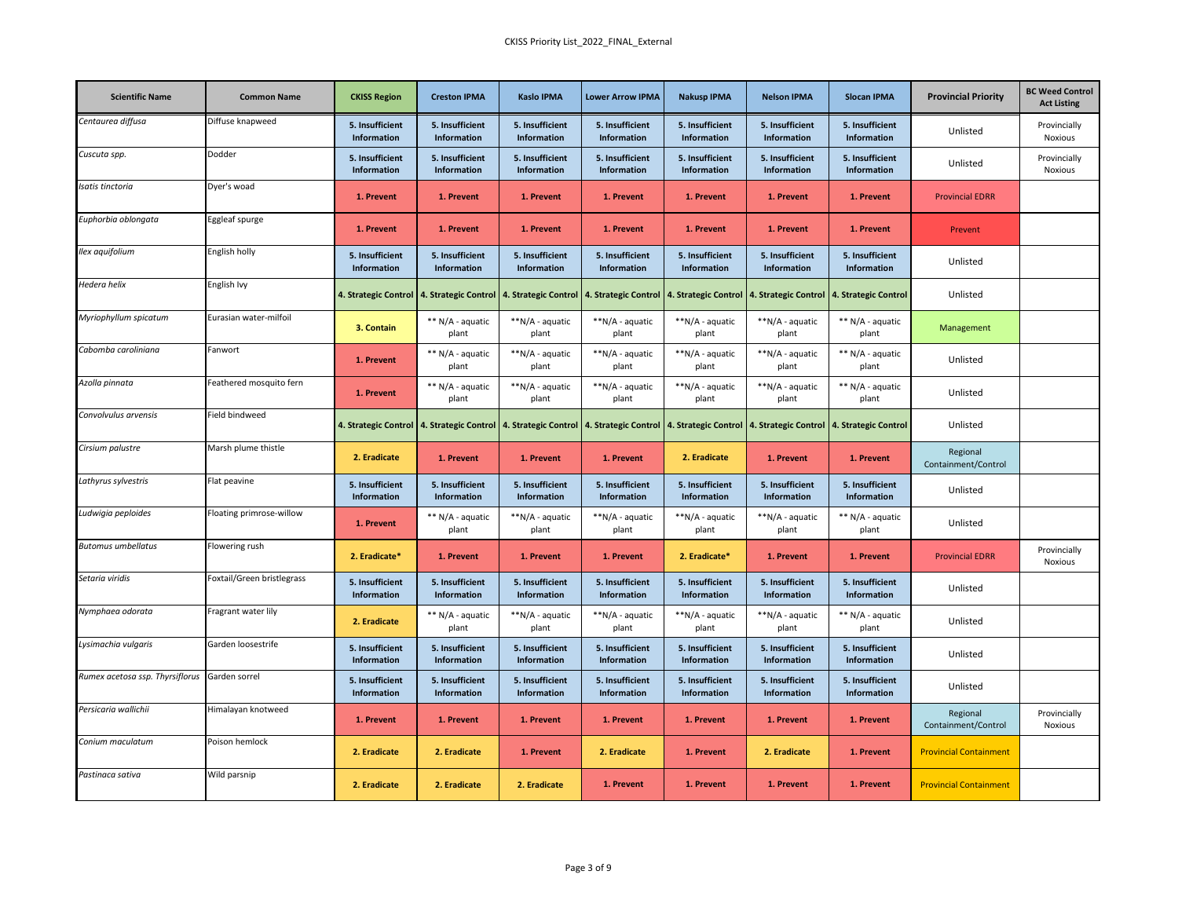| <b>Scientific Name</b>          | <b>Common Name</b>         | <b>CKISS Region</b>            | <b>Creston IPMA</b>                       | <b>Kaslo IPMA</b>              | <b>Lower Arrow IPMA</b>               | <b>Nakusp IPMA</b>                                                                        | <b>Nelson IPMA</b>             | <b>Slocan IPMA</b>             | <b>Provincial Priority</b>      | <b>BC Weed Control</b><br><b>Act Listing</b> |
|---------------------------------|----------------------------|--------------------------------|-------------------------------------------|--------------------------------|---------------------------------------|-------------------------------------------------------------------------------------------|--------------------------------|--------------------------------|---------------------------------|----------------------------------------------|
| Centaurea diffusa               | Diffuse knapweed           | 5. Insufficient<br>Information | 5. Insufficient<br>Information            | 5. Insufficient<br>Information | 5. Insufficient<br>Information        | 5. Insufficient<br>Information                                                            | 5. Insufficient<br>Information | 5. Insufficient<br>Information | Unlisted                        | Provincially<br>Noxious                      |
| Cuscuta spp.                    | Dodder                     | 5. Insufficient<br>Information | 5. Insufficient<br>Information            | 5. Insufficient<br>Information | 5. Insufficient<br>Information        | 5. Insufficient<br>Information                                                            | 5. Insufficient<br>Information | 5. Insufficient<br>Information | Unlisted                        | Provincially<br>Noxious                      |
| Isatis tinctoria                | Dyer's woad                | 1. Prevent                     | 1. Prevent                                | 1. Prevent                     | 1. Prevent                            | 1. Prevent                                                                                | 1. Prevent                     | 1. Prevent                     | <b>Provincial EDRR</b>          |                                              |
| Euphorbia oblongata             | Eggleaf spurge             | 1. Prevent                     | 1. Prevent                                | 1. Prevent                     | 1. Prevent                            | 1. Prevent                                                                                | 1. Prevent                     | 1. Prevent                     | Prevent                         |                                              |
| Ilex aquifolium                 | English holly              | 5. Insufficient<br>Information | 5. Insufficient<br><b>Information</b>     | 5. Insufficient<br>Information | 5. Insufficient<br><b>Information</b> | 5. Insufficient<br>Information                                                            | 5. Insufficient<br>Information | 5. Insufficient<br>Information | Unlisted                        |                                              |
| Hedera helix                    | English Ivy                | 4. Strategic Control           | 4. Strategic Control                      | 4. Strategic Control           | 4. Strategic Control                  | 4. Strategic Control                                                                      | 4. Strategic Control           | 4. Strategic Control           | Unlisted                        |                                              |
| Myriophyllum spicatum           | Eurasian water-milfoil     | 3. Contain                     | ** N/A - aquatic<br>plant                 | **N/A - aquatic<br>plant       | **N/A - aquatic<br>plant              | **N/A - aquatic<br>plant                                                                  | **N/A - aquatic<br>plant       | ** N/A - aquatic<br>plant      | Management                      |                                              |
| Cabomba caroliniana             | Fanwort                    | 1. Prevent                     | ** N/A - aquatic<br>plant                 | **N/A - aquatic<br>plant       | **N/A - aquatic<br>plant              | **N/A - aquatic<br>plant                                                                  | **N/A - aquatic<br>plant       | ** N/A - aquatic<br>plant      | Unlisted                        |                                              |
| Azolla pinnata                  | Feathered mosquito fern    | 1. Prevent                     | ** N/A - aquatic<br>plant                 | **N/A - aquatic<br>plant       | **N/A - aquatic<br>plant              | **N/A - aquatic<br>plant                                                                  | **N/A - aquatic<br>plant       | ** N/A - aquatic<br>plant      | Unlisted                        |                                              |
| Convolvulus arvensis            | Field bindweed             |                                | 4. Strategic Control 4. Strategic Control | 4. Strategic Control           |                                       | 4. Strategic Control   4. Strategic Control   4. Strategic Control   4. Strategic Control |                                |                                | Unlisted                        |                                              |
| Cirsium palustre                | Marsh plume thistle        | 2. Eradicate                   | 1. Prevent                                | 1. Prevent                     | 1. Prevent                            | 2. Eradicate                                                                              | 1. Prevent                     | 1. Prevent                     | Regional<br>Containment/Control |                                              |
| Lathyrus sylvestris             | Flat peavine               | 5. Insufficient<br>Information | 5. Insufficient<br>Information            | 5. Insufficient<br>Information | 5. Insufficient<br>Information        | 5. Insufficient<br>Information                                                            | 5. Insufficient<br>Information | 5. Insufficient<br>Information | Unlisted                        |                                              |
| Ludwigia peploides              | Floating primrose-willow   | 1. Prevent                     | ** N/A - aquatic<br>plant                 | **N/A - aquatic<br>plant       | **N/A - aquatic<br>plant              | **N/A - aquatic<br>plant                                                                  | **N/A - aquatic<br>plant       | ** N/A - aquatic<br>plant      | Unlisted                        |                                              |
| <b>Butomus umbellatus</b>       | Flowering rush             | 2. Eradicate*                  | 1. Prevent                                | 1. Prevent                     | 1. Prevent                            | 2. Eradicate*                                                                             | 1. Prevent                     | 1. Prevent                     | <b>Provincial EDRR</b>          | Provincially<br>Noxious                      |
| Setaria viridis                 | Foxtail/Green bristlegrass | 5. Insufficient<br>Information | 5. Insufficient<br>Information            | 5. Insufficient<br>Information | 5. Insufficient<br>Information        | 5. Insufficient<br>Information                                                            | 5. Insufficient<br>Information | 5. Insufficient<br>Information | Unlisted                        |                                              |
| Nymphaea odorata                | Fragrant water lily        | 2. Eradicate                   | ** N/A - aquatic<br>plant                 | **N/A - aquatic<br>plant       | **N/A - aquatic<br>plant              | **N/A - aquatic<br>plant                                                                  | **N/A - aquatic<br>plant       | ** N/A - aquatic<br>plant      | Unlisted                        |                                              |
| Lysimachia vulgaris             | Garden loosestrife         | 5. Insufficient<br>Information | 5. Insufficient<br>Information            | 5. Insufficient<br>Information | 5. Insufficient<br>Information        | 5. Insufficient<br>Information                                                            | 5. Insufficient<br>Information | 5. Insufficient<br>Information | Unlisted                        |                                              |
| Rumex acetosa ssp. Thyrsiflorus | Garden sorrel              | 5. Insufficient<br>Information | 5. Insufficient<br>Information            | 5. Insufficient<br>Information | 5. Insufficient<br>Information        | 5. Insufficient<br>Information                                                            | 5. Insufficient<br>Information | 5. Insufficient<br>Information | Unlisted                        |                                              |
| Persicaria wallichii            | Himalayan knotweed         | 1. Prevent                     | 1. Prevent                                | 1. Prevent                     | 1. Prevent                            | 1. Prevent                                                                                | 1. Prevent                     | 1. Prevent                     | Regional<br>Containment/Control | Provincially<br>Noxious                      |
| Conium maculatum                | Poison hemlock             | 2. Eradicate                   | 2. Eradicate                              | 1. Prevent                     | 2. Eradicate                          | 1. Prevent                                                                                | 2. Eradicate                   | 1. Prevent                     | <b>Provincial Containment</b>   |                                              |
| Pastinaca sativa                | Wild parsnip               | 2. Eradicate                   | 2. Eradicate                              | 2. Eradicate                   | 1. Prevent                            | 1. Prevent                                                                                | 1. Prevent                     | 1. Prevent                     | <b>Provincial Containment</b>   |                                              |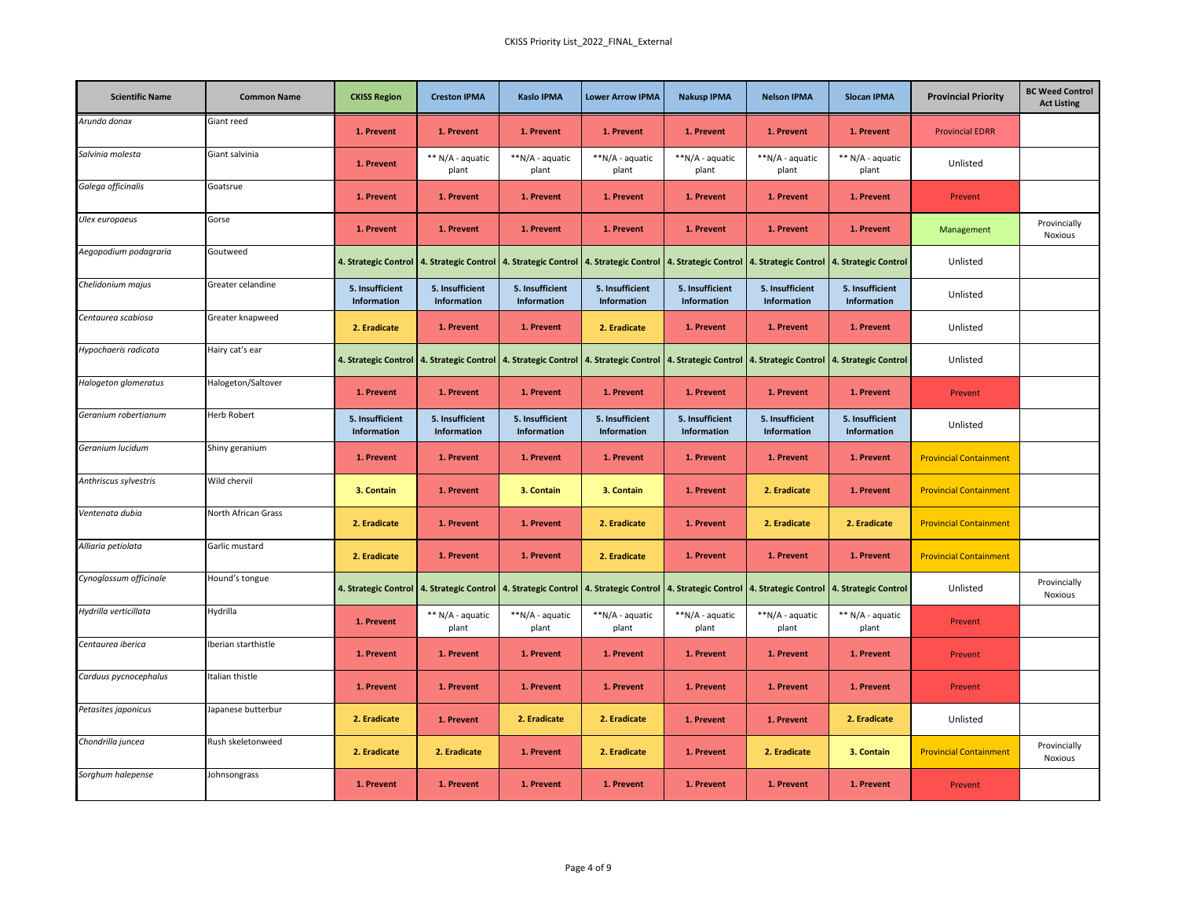| <b>Scientific Name</b> | <b>Common Name</b>  | <b>CKISS Region</b>                       | <b>Creston IPMA</b>            | <b>Kaslo IPMA</b>              | <b>Lower Arrow IPMA</b>        | <b>Nakusp IPMA</b>                                                                                                                                                                                                             | <b>Nelson IPMA</b>             | <b>Slocan IPMA</b>             | <b>Provincial Priority</b>    | <b>BC Weed Control</b><br><b>Act Listing</b> |
|------------------------|---------------------|-------------------------------------------|--------------------------------|--------------------------------|--------------------------------|--------------------------------------------------------------------------------------------------------------------------------------------------------------------------------------------------------------------------------|--------------------------------|--------------------------------|-------------------------------|----------------------------------------------|
| Arundo donax           | Giant reed          | 1. Prevent                                | 1. Prevent                     | 1. Prevent                     | 1. Prevent                     | 1. Prevent                                                                                                                                                                                                                     | 1. Prevent                     | 1. Prevent                     | <b>Provincial EDRR</b>        |                                              |
| Salvinia molesta       | Giant salvinia      | 1. Prevent                                | ** N/A - aquatic<br>plant      | **N/A - aquatic<br>plant       | **N/A - aquatic<br>plant       | **N/A - aquatic<br>plant                                                                                                                                                                                                       | **N/A - aquatic<br>plant       | ** N/A - aquatic<br>plant      | Unlisted                      |                                              |
| Galega officinalis     | Goatsrue            | 1. Prevent                                | 1. Prevent                     | 1. Prevent                     | 1. Prevent                     | 1. Prevent                                                                                                                                                                                                                     | 1. Prevent                     | 1. Prevent                     | Prevent                       |                                              |
| Ulex europaeus         | Gorse               | 1. Prevent                                | 1. Prevent                     | 1. Prevent                     | 1. Prevent                     | 1. Prevent                                                                                                                                                                                                                     | 1. Prevent                     | 1. Prevent                     | Management                    | Provincially<br>Noxious                      |
| Aegopodium podagraria  | Goutweed            |                                           |                                |                                |                                | 4. Strategic Control   4. Strategic Control   4. Strategic Control   4. Strategic Control   4. Strategic Control   4. Strategic Control   4. Strategic Control   4. Strategic Control   4. Strategic Control   4. Strategic Co |                                |                                | Unlisted                      |                                              |
| Chelidonium majus      | Greater celandine   | 5. Insufficient<br>Information            | 5. Insufficient<br>Information | 5. Insufficient<br>Information | 5. Insufficient<br>Information | 5. Insufficient<br>Information                                                                                                                                                                                                 | 5. Insufficient<br>Information | 5. Insufficient<br>Information | Unlisted                      |                                              |
| Centaurea scabiosa     | Greater knapweed    | 2. Eradicate                              | 1. Prevent                     | 1. Prevent                     | 2. Eradicate                   | 1. Prevent                                                                                                                                                                                                                     | 1. Prevent                     | 1. Prevent                     | Unlisted                      |                                              |
| Hypochaeris radicata   | Hairy cat's ear     |                                           |                                |                                |                                | 4. Strategic Control   4. Strategic Control   4. Strategic Control   4. Strategic Control   4. Strategic Control   4. Strategic Control   4. Strategic Control   4. Strategic Control   4. Strategic Control   4. Strategic Co |                                |                                | Unlisted                      |                                              |
| Halogeton glomeratus   | Halogeton/Saltover  | 1. Prevent                                | 1. Prevent                     | 1. Prevent                     | 1. Prevent                     | 1. Prevent                                                                                                                                                                                                                     | 1. Prevent                     | 1. Prevent                     | Prevent                       |                                              |
| Geranium robertianum   | <b>Herb Robert</b>  | 5. Insufficient<br>Information            | 5. Insufficient<br>Information | 5. Insufficient<br>Information | 5. Insufficient<br>Information | 5. Insufficient<br>Information                                                                                                                                                                                                 | 5. Insufficient<br>Information | 5. Insufficient<br>Information | Unlisted                      |                                              |
| Geranium lucidum       | Shiny geranium      | 1. Prevent                                | 1. Prevent                     | 1. Prevent                     | 1. Prevent                     | 1. Prevent                                                                                                                                                                                                                     | 1. Prevent                     | 1. Prevent                     | <b>Provincial Containment</b> |                                              |
| Anthriscus sylvestris  | Wild chervil        | 3. Contain                                | 1. Prevent                     | 3. Contain                     | 3. Contain                     | 1. Prevent                                                                                                                                                                                                                     | 2. Eradicate                   | 1. Prevent                     | <b>Provincial Containment</b> |                                              |
| Ventenata dubia        | North African Grass | 2. Eradicate                              | 1. Prevent                     | 1. Prevent                     | 2. Eradicate                   | 1. Prevent                                                                                                                                                                                                                     | 2. Eradicate                   | 2. Eradicate                   | <b>Provincial Containment</b> |                                              |
| Alliaria petiolata     | Garlic mustard      | 2. Eradicate                              | 1. Prevent                     | 1. Prevent                     | 2. Eradicate                   | 1. Prevent                                                                                                                                                                                                                     | 1. Prevent                     | 1. Prevent                     | <b>Provincial Containment</b> |                                              |
| Cynoglossum officinale | Hound's tongue      | 4. Strategic Control 4. Strategic Control |                                | 4. Strategic Control           |                                | 4. Strategic Control   4. Strategic Control   4. Strategic Control   4. Strategic Control                                                                                                                                      |                                |                                | Unlisted                      | Provincially<br>Noxious                      |
| Hydrilla verticillata  | Hydrilla            | 1. Prevent                                | ** N/A - aquatic<br>plant      | **N/A - aquatic<br>plant       | **N/A - aquatic<br>plant       | **N/A - aquatic<br>plant                                                                                                                                                                                                       | **N/A - aquatic<br>plant       | ** N/A - aquatic<br>plant      | Prevent                       |                                              |
| Centaurea iberica      | Iberian starthistle | 1. Prevent                                | 1. Prevent                     | 1. Prevent                     | 1. Prevent                     | 1. Prevent                                                                                                                                                                                                                     | 1. Prevent                     | 1. Prevent                     | Prevent                       |                                              |
| Carduus pycnocephalus  | Italian thistle     | 1. Prevent                                | 1. Prevent                     | 1. Prevent                     | 1. Prevent                     | 1. Prevent                                                                                                                                                                                                                     | 1. Prevent                     | 1. Prevent                     | Prevent                       |                                              |
| Petasites japonicus    | Japanese butterbur  | 2. Eradicate                              | 1. Prevent                     | 2. Eradicate                   | 2. Eradicate                   | 1. Prevent                                                                                                                                                                                                                     | 1. Prevent                     | 2. Eradicate                   | Unlisted                      |                                              |
| Chondrilla juncea      | Rush skeletonweed   | 2. Eradicate                              | 2. Eradicate                   | 1. Prevent                     | 2. Eradicate                   | 1. Prevent                                                                                                                                                                                                                     | 2. Eradicate                   | 3. Contain                     | <b>Provincial Containment</b> | Provincially<br>Noxious                      |
| Sorghum halepense      | Johnsongrass        | 1. Prevent                                | 1. Prevent                     | 1. Prevent                     | 1. Prevent                     | 1. Prevent                                                                                                                                                                                                                     | 1. Prevent                     | 1. Prevent                     | Prevent                       |                                              |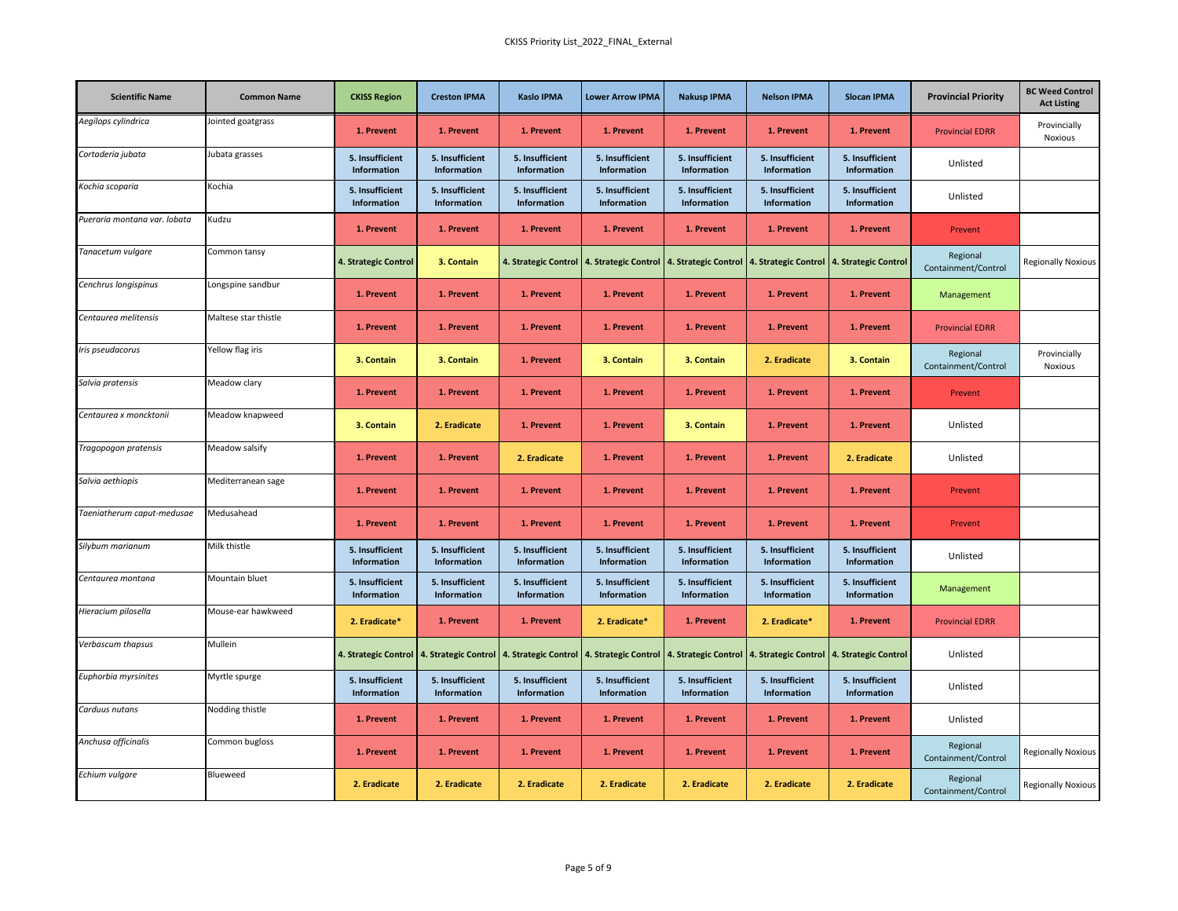| <b>Scientific Name</b>       | <b>Common Name</b>   | <b>CKISS Region</b>            | <b>Creston IPMA</b>            | <b>Kaslo IPMA</b>              | <b>Lower Arrow IPMA</b>        | <b>Nakusp IPMA</b>                                                                                                                                             | <b>Nelson IPMA</b>             | <b>Slocan IPMA</b>             | <b>Provincial Priority</b>      | <b>BC Weed Control</b><br><b>Act Listing</b> |
|------------------------------|----------------------|--------------------------------|--------------------------------|--------------------------------|--------------------------------|----------------------------------------------------------------------------------------------------------------------------------------------------------------|--------------------------------|--------------------------------|---------------------------------|----------------------------------------------|
| Aegilops cylindrica          | Jointed goatgrass    | 1. Prevent                     | 1. Prevent                     | 1. Prevent                     | 1. Prevent                     | 1. Prevent                                                                                                                                                     | 1. Prevent                     | 1. Prevent                     | <b>Provincial EDRR</b>          | Provincially<br>Noxious                      |
| Cortaderia jubata            | Jubata grasses       | 5. Insufficient<br>Information | 5. Insufficient<br>Information | 5. Insufficient<br>Information | 5. Insufficient<br>Information | 5. Insufficient<br>Information                                                                                                                                 | 5. Insufficient<br>Information | 5. Insufficient<br>Information | Unlisted                        |                                              |
| Kochia scoparia              | Kochia               | 5. Insufficient<br>Information | 5. Insufficient<br>Information | 5. Insufficient<br>Information | 5. Insufficient<br>Information | 5. Insufficient<br>Information                                                                                                                                 | 5. Insufficient<br>Information | 5. Insufficient<br>Information | Unlisted                        |                                              |
| Pueraria montana var. lobata | Kudzu                | 1. Prevent                     | 1. Prevent                     | 1. Prevent                     | 1. Prevent                     | 1. Prevent                                                                                                                                                     | 1. Prevent                     | 1. Prevent                     | Prevent                         |                                              |
| Tanacetum vulgare            | Common tansy         | 4. Strategic Control           | 3. Contain                     |                                |                                | 4. Strategic Control   4. Strategic Control   4. Strategic Control   4. Strategic Control   4. Strategic Control                                               |                                |                                | Regional<br>Containment/Control | <b>Regionally Noxious</b>                    |
| Cenchrus longispinus         | Longspine sandbur    | 1. Prevent                     | 1. Prevent                     | 1. Prevent                     | 1. Prevent                     | 1. Prevent                                                                                                                                                     | 1. Prevent                     | 1. Prevent                     | Management                      |                                              |
| Centaurea melitensis         | Maltese star thistle | 1. Prevent                     | 1. Prevent                     | 1. Prevent                     | 1. Prevent                     | 1. Prevent                                                                                                                                                     | 1. Prevent                     | 1. Prevent                     | <b>Provincial EDRR</b>          |                                              |
| Iris pseudacorus             | Yellow flag iris     | 3. Contain                     | 3. Contain                     | 1. Prevent                     | 3. Contain                     | 3. Contain                                                                                                                                                     | 2. Eradicate                   | 3. Contain                     | Regional<br>Containment/Control | Provincially<br>Noxious                      |
| Salvia pratensis             | Meadow clary         | 1. Prevent                     | 1. Prevent                     | 1. Prevent                     | 1. Prevent                     | 1. Prevent                                                                                                                                                     | 1. Prevent                     | 1. Prevent                     | Prevent                         |                                              |
| Centaurea x moncktonii       | Meadow knapweed      | 3. Contain                     | 2. Eradicate                   | 1. Prevent                     | 1. Prevent                     | 3. Contain                                                                                                                                                     | 1. Prevent                     | 1. Prevent                     | Unlisted                        |                                              |
| Tragopogon pratensis         | Meadow salsify       | 1. Prevent                     | 1. Prevent                     | 2. Eradicate                   | 1. Prevent                     | 1. Prevent                                                                                                                                                     | 1. Prevent                     | 2. Eradicate                   | Unlisted                        |                                              |
| Salvia aethiopis             | Mediterranean sage   | 1. Prevent                     | 1. Prevent                     | 1. Prevent                     | 1. Prevent                     | 1. Prevent                                                                                                                                                     | 1. Prevent                     | 1. Prevent                     | Prevent                         |                                              |
| Taeniatherum caput-medusae   | Medusahead           | 1. Prevent                     | 1. Prevent                     | 1. Prevent                     | 1. Prevent                     | 1. Prevent                                                                                                                                                     | 1. Prevent                     | 1. Prevent                     | Prevent                         |                                              |
| Silybum marianum             | Milk thistle         | 5. Insufficient<br>Information | 5. Insufficient<br>Information | 5. Insufficient<br>Information | 5. Insufficient<br>Information | 5. Insufficient<br>Information                                                                                                                                 | 5. Insufficient<br>Information | 5. Insufficient<br>Information | Unlisted                        |                                              |
| Centaurea montana            | Mountain bluet       | 5. Insufficient<br>Information | 5. Insufficient<br>Information | 5. Insufficient<br>Information | 5. Insufficient<br>Information | 5. Insufficient<br>Information                                                                                                                                 | 5. Insufficient<br>Information | 5. Insufficient<br>Information | Management                      |                                              |
| Hieracium pilosella          | Mouse-ear hawkweed   | 2. Eradicate*                  | 1. Prevent                     | 1. Prevent                     | 2. Eradicate*                  | 1. Prevent                                                                                                                                                     | 2. Eradicate*                  | 1. Prevent                     | <b>Provincial EDRR</b>          |                                              |
| Verbascum thapsus            | Mullein              |                                |                                |                                |                                | 4. Strategic Control   4. Strategic Control   4. Strategic Control   4. Strategic Control   4. Strategic Control   4. Strategic Control   4. Strategic Control |                                |                                | Unlisted                        |                                              |
| Euphorbia myrsinites         | Myrtle spurge        | 5. Insufficient<br>Information | 5. Insufficient<br>Information | 5. Insufficient<br>Information | 5. Insufficient<br>Information | 5. Insufficient<br>Information                                                                                                                                 | 5. Insufficient<br>Information | 5. Insufficient<br>Information | Unlisted                        |                                              |
| Carduus nutans               | Nodding thistle      | 1. Prevent                     | 1. Prevent                     | 1. Prevent                     | 1. Prevent                     | 1. Prevent                                                                                                                                                     | 1. Prevent                     | 1. Prevent                     | Unlisted                        |                                              |
| Anchusa officinalis          | Common bugloss       | 1. Prevent                     | 1. Prevent                     | 1. Prevent                     | 1. Prevent                     | 1. Prevent                                                                                                                                                     | 1. Prevent                     | 1. Prevent                     | Regional<br>Containment/Control | <b>Regionally Noxious</b>                    |
| Echium vulgare               | Blueweed             | 2. Eradicate                   | 2. Eradicate                   | 2. Eradicate                   | 2. Eradicate                   | 2. Eradicate                                                                                                                                                   | 2. Eradicate                   | 2. Eradicate                   | Regional<br>Containment/Control | <b>Regionally Noxious</b>                    |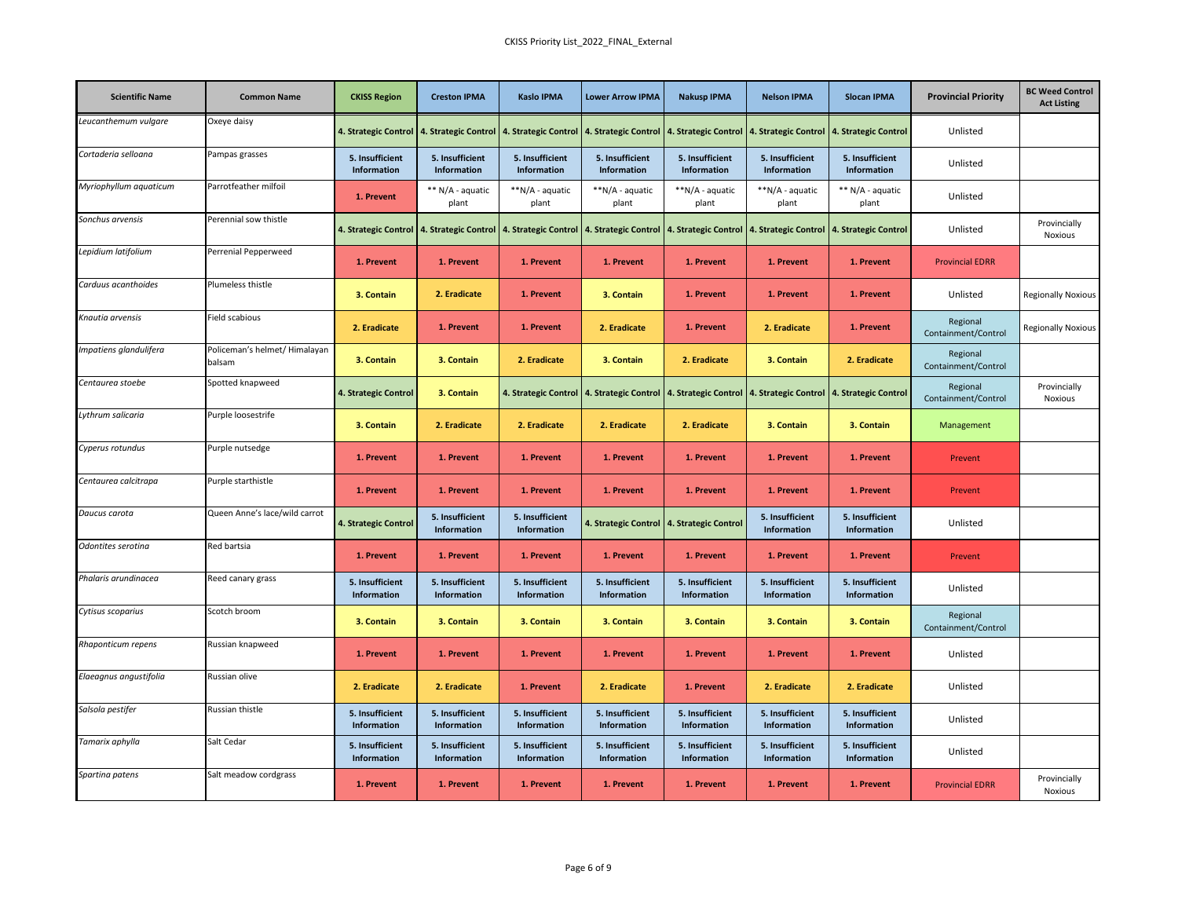| <b>Scientific Name</b> | <b>Common Name</b>                      | <b>CKISS Region</b>            | <b>Creston IPMA</b>                       | <b>Kaslo IPMA</b>                                                                   | <b>Lower Arrow IPMA</b>               | <b>Nakusp IPMA</b>                    | <b>Nelson IPMA</b>             | <b>Slocan IPMA</b>                    | <b>Provincial Priority</b>      | <b>BC Weed Control</b><br><b>Act Listing</b> |
|------------------------|-----------------------------------------|--------------------------------|-------------------------------------------|-------------------------------------------------------------------------------------|---------------------------------------|---------------------------------------|--------------------------------|---------------------------------------|---------------------------------|----------------------------------------------|
| Leucanthemum vulgare   | Oxeye daisy                             |                                |                                           | 4. Strategic Control 4. Strategic Control 4. Strategic Control 4. Strategic Control |                                       | 4. Strategic Control                  | 4. Strategic Control           | 4. Strategic Control                  | Unlisted                        |                                              |
| Cortaderia selloana    | Pampas grasses                          | 5. Insufficient<br>Information | 5. Insufficient<br>Information            | 5. Insufficient<br>Information                                                      | 5. Insufficient<br>Information        | 5. Insufficient<br>Information        | 5. Insufficient<br>Information | 5. Insufficient<br>Information        | Unlisted                        |                                              |
| Myriophyllum aquaticum | Parrotfeather milfoil                   | 1. Prevent                     | ** N/A - aquatic<br>plant                 | **N/A - aquatic<br>plant                                                            | **N/A - aquatic<br>plant              | **N/A - aquatic<br>plant              | **N/A - aquatic<br>plant       | ** N/A - aquatic<br>plant             | Unlisted                        |                                              |
| Sonchus arvensis       | Perennial sow thistle                   |                                | 4. Strategic Control 4. Strategic Control | 4. Strategic Control                                                                | 4. Strategic Control                  | 4. Strategic Control                  | 4. Strategic Control           | 4. Strategic Control                  | Unlisted                        | Provincially<br>Noxious                      |
| Lepidium latifolium    | Perrenial Pepperweed                    | 1. Prevent                     | 1. Prevent                                | 1. Prevent                                                                          | 1. Prevent                            | 1. Prevent                            | 1. Prevent                     | 1. Prevent                            | <b>Provincial EDRR</b>          |                                              |
| Carduus acanthoides    | Plumeless thistle                       | 3. Contain                     | 2. Eradicate                              | 1. Prevent                                                                          | 3. Contain                            | 1. Prevent                            | 1. Prevent                     | 1. Prevent                            | Unlisted                        | <b>Regionally Noxious</b>                    |
| Knautia arvensis       | Field scabious                          | 2. Eradicate                   | 1. Prevent                                | 1. Prevent                                                                          | 2. Eradicate                          | 1. Prevent                            | 2. Eradicate                   | 1. Prevent                            | Regional<br>Containment/Control | <b>Regionally Noxious</b>                    |
| mpatiens glandulifera  | Policeman's helmet/ Himalayan<br>balsam | 3. Contain                     | 3. Contain                                | 2. Eradicate                                                                        | 3. Contain                            | 2. Eradicate                          | 3. Contain                     | 2. Eradicate                          | Regional<br>Containment/Control |                                              |
| Centaurea stoebe       | Spotted knapweed                        | 4. Strategic Control           | 3. Contain                                | 4. Strategic Control                                                                | 4. Strategic Control                  | 4. Strategic Control                  | 4. Strategic Control           | 4. Strategic Control                  | Regional<br>Containment/Control | Provincially<br><b>Noxious</b>               |
| ythrum salicaria       | Purple loosestrife                      | 3. Contain                     | 2. Eradicate                              | 2. Eradicate                                                                        | 2. Eradicate                          | 2. Eradicate                          | 3. Contain                     | 3. Contain                            | Management                      |                                              |
| Cyperus rotundus       | Purple nutsedge                         | 1. Prevent                     | 1. Prevent                                | 1. Prevent                                                                          | 1. Prevent                            | 1. Prevent                            | 1. Prevent                     | 1. Prevent                            | Prevent                         |                                              |
| Centaurea calcitrapa   | Purple starthistle                      | 1. Prevent                     | 1. Prevent                                | 1. Prevent                                                                          | 1. Prevent                            | 1. Prevent                            | 1. Prevent                     | 1. Prevent                            | Prevent                         |                                              |
| Daucus carota          | Queen Anne's lace/wild carrot           | 4. Strategic Control           | 5. Insufficient<br>Information            | 5. Insufficient<br>Information                                                      | 4. Strategic Control                  | 4. Strategic Control                  | 5. Insufficient<br>Information | 5. Insufficient<br>Information        | Unlisted                        |                                              |
| Odontites serotina     | Red bartsia                             | 1. Prevent                     | 1. Prevent                                | 1. Prevent                                                                          | 1. Prevent                            | 1. Prevent                            | 1. Prevent                     | 1. Prevent                            | Prevent                         |                                              |
| Phalaris arundinacea   | Reed canary grass                       | 5. Insufficient<br>Information | 5. Insufficient<br>Information            | 5. Insufficient<br>Information                                                      | 5. Insufficient<br>Information        | 5. Insufficient<br>Information        | 5. Insufficient<br>Information | 5. Insufficient<br>Information        | Unlisted                        |                                              |
| Cytisus scoparius      | Scotch broom                            | 3. Contain                     | 3. Contain                                | 3. Contain                                                                          | 3. Contain                            | 3. Contain                            | 3. Contain                     | 3. Contain                            | Regional<br>Containment/Control |                                              |
| Rhaponticum repens     | Russian knapweed                        | 1. Prevent                     | 1. Prevent                                | 1. Prevent                                                                          | 1. Prevent                            | 1. Prevent                            | 1. Prevent                     | 1. Prevent                            | Unlisted                        |                                              |
| Elaeagnus angustifolia | Russian olive                           | 2. Eradicate                   | 2. Eradicate                              | 1. Prevent                                                                          | 2. Eradicate                          | 1. Prevent                            | 2. Eradicate                   | 2. Eradicate                          | Unlisted                        |                                              |
| Salsola pestifer       | Russian thistle                         | 5. Insufficient<br>Information | 5. Insufficient<br>Information            | 5. Insufficient<br>Information                                                      | 5. Insufficient<br>Information        | 5. Insufficient<br>Information        | 5. Insufficient<br>Information | 5. Insufficient<br>Information        | Unlisted                        |                                              |
| Tamarix aphylla        | Salt Cedar                              | 5. Insufficient<br>Information | 5. Insufficient<br><b>Information</b>     | 5. Insufficient<br>Information                                                      | 5. Insufficient<br><b>Information</b> | 5. Insufficient<br><b>Information</b> | 5. Insufficient<br>Information | 5. Insufficient<br><b>Information</b> | Unlisted                        |                                              |
| Spartina patens        | Salt meadow cordgrass                   | 1. Prevent                     | 1. Prevent                                | 1. Prevent                                                                          | 1. Prevent                            | 1. Prevent                            | 1. Prevent                     | 1. Prevent                            | <b>Provincial EDRR</b>          | Provincially<br><b>Noxious</b>               |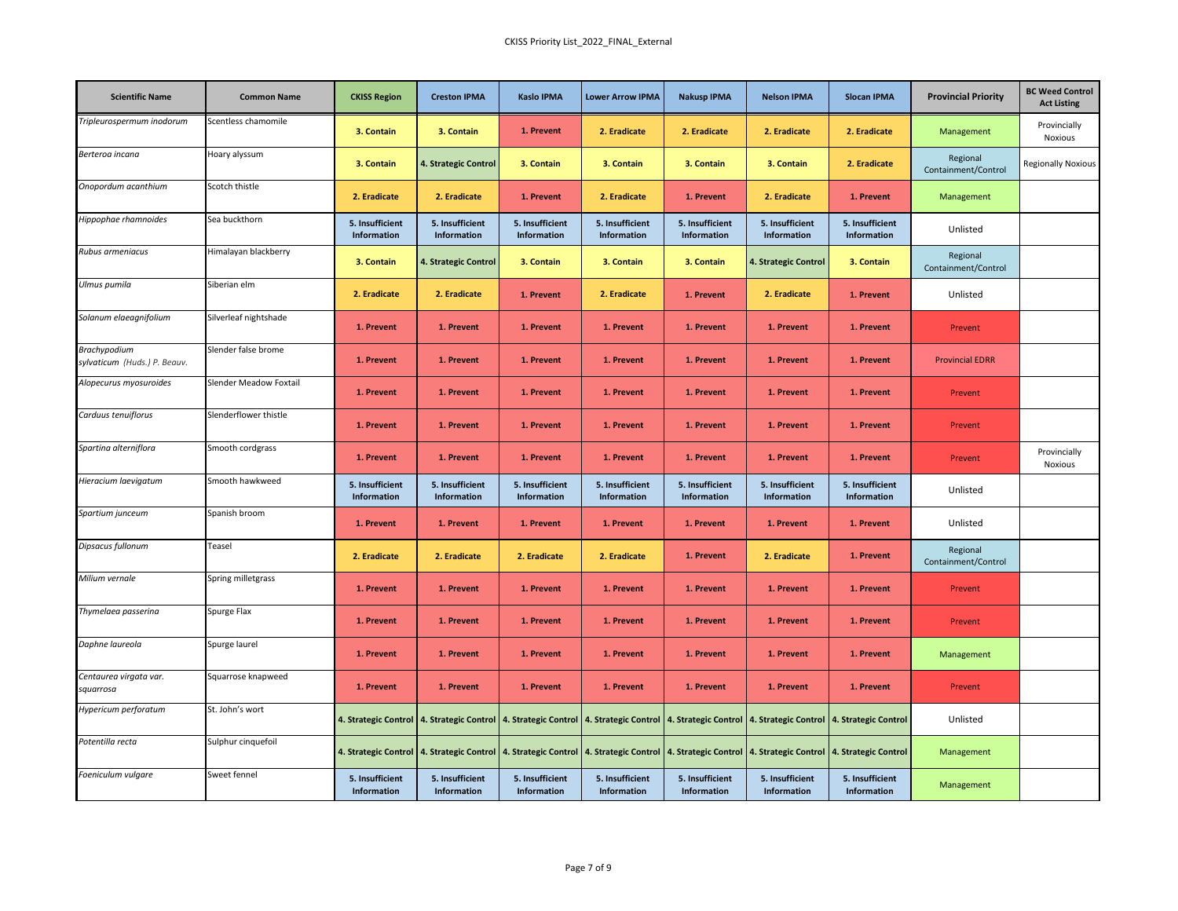| <b>Scientific Name</b>                       | <b>Common Name</b>            | <b>CKISS Region</b>            | <b>Creston IPMA</b>            | <b>Kaslo IPMA</b>              | <b>Lower Arrow IPMA</b>                                                                                                                                                                                                        | <b>Nakusp IPMA</b>             | <b>Nelson IPMA</b>             | <b>Slocan IPMA</b>             | <b>Provincial Priority</b>      | <b>BC Weed Control</b><br><b>Act Listing</b> |
|----------------------------------------------|-------------------------------|--------------------------------|--------------------------------|--------------------------------|--------------------------------------------------------------------------------------------------------------------------------------------------------------------------------------------------------------------------------|--------------------------------|--------------------------------|--------------------------------|---------------------------------|----------------------------------------------|
| Tripleurospermum inodorum                    | Scentless chamomile           | 3. Contain                     | 3. Contain                     | 1. Prevent                     | 2. Eradicate                                                                                                                                                                                                                   | 2. Eradicate                   | 2. Eradicate                   | 2. Eradicate                   | Management                      | Provincially<br>Noxious                      |
| Berteroa incana                              | Hoary alyssum                 | 3. Contain                     | 4. Strategic Control           | 3. Contain                     | 3. Contain                                                                                                                                                                                                                     | 3. Contain                     | 3. Contain                     | 2. Eradicate                   | Regional<br>Containment/Control | <b>Regionally Noxious</b>                    |
| Onopordum acanthium                          | Scotch thistle                | 2. Eradicate                   | 2. Eradicate                   | 1. Prevent                     | 2. Eradicate                                                                                                                                                                                                                   | 1. Prevent                     | 2. Eradicate                   | 1. Prevent                     | Management                      |                                              |
| Hippophae rhamnoides                         | Sea buckthorn                 | 5. Insufficient<br>Information | 5. Insufficient<br>Information | 5. Insufficient<br>Information | 5. Insufficient<br>Information                                                                                                                                                                                                 | 5. Insufficient<br>Information | 5. Insufficient<br>Information | 5. Insufficient<br>Information | Unlisted                        |                                              |
| Rubus armeniacus                             | Himalayan blackberry          | 3. Contain                     | 4. Strategic Control           | 3. Contain                     | 3. Contain                                                                                                                                                                                                                     | 3. Contain                     | 4. Strategic Control           | 3. Contain                     | Regional<br>Containment/Control |                                              |
| Ulmus pumila                                 | Siberian elm                  | 2. Eradicate                   | 2. Eradicate                   | 1. Prevent                     | 2. Eradicate                                                                                                                                                                                                                   | 1. Prevent                     | 2. Eradicate                   | 1. Prevent                     | Unlisted                        |                                              |
| Solanum elaeagnifolium                       | Silverleaf nightshade         | 1. Prevent                     | 1. Prevent                     | 1. Prevent                     | 1. Prevent                                                                                                                                                                                                                     | 1. Prevent                     | 1. Prevent                     | 1. Prevent                     | Prevent                         |                                              |
| Brachypodium<br>sylvaticum (Huds.) P. Beauv. | Slender false brome           | 1. Prevent                     | 1. Prevent                     | 1. Prevent                     | 1. Prevent                                                                                                                                                                                                                     | 1. Prevent                     | 1. Prevent                     | 1. Prevent                     | <b>Provincial EDRR</b>          |                                              |
| Alopecurus myosuroides                       | <b>Slender Meadow Foxtail</b> | 1. Prevent                     | 1. Prevent                     | 1. Prevent                     | 1. Prevent                                                                                                                                                                                                                     | 1. Prevent                     | 1. Prevent                     | 1. Prevent                     | Prevent                         |                                              |
| Carduus tenuiflorus                          | Slenderflower thistle         | 1. Prevent                     | 1. Prevent                     | 1. Prevent                     | 1. Prevent                                                                                                                                                                                                                     | 1. Prevent                     | 1. Prevent                     | 1. Prevent                     | Prevent                         |                                              |
| Spartina alterniflora                        | Smooth cordgrass              | 1. Prevent                     | 1. Prevent                     | 1. Prevent                     | 1. Prevent                                                                                                                                                                                                                     | 1. Prevent                     | 1. Prevent                     | 1. Prevent                     | Prevent                         | Provincially<br>Noxious                      |
| Hieracium laevigatum                         | Smooth hawkweed               | 5. Insufficient<br>Information | 5. Insufficient<br>Information | 5. Insufficient<br>Information | 5. Insufficient<br>Information                                                                                                                                                                                                 | 5. Insufficient<br>Information | 5. Insufficient<br>Information | 5. Insufficient<br>Information | Unlisted                        |                                              |
| Spartium junceum                             | Spanish broom                 | 1. Prevent                     | 1. Prevent                     | 1. Prevent                     | 1. Prevent                                                                                                                                                                                                                     | 1. Prevent                     | 1. Prevent                     | 1. Prevent                     | Unlisted                        |                                              |
| Dipsacus fullonum                            | Teasel                        | 2. Eradicate                   | 2. Eradicate                   | 2. Eradicate                   | 2. Eradicate                                                                                                                                                                                                                   | 1. Prevent                     | 2. Eradicate                   | 1. Prevent                     | Regional<br>Containment/Control |                                              |
| Milium vernale                               | Spring milletgrass            | 1. Prevent                     | 1. Prevent                     | 1. Prevent                     | 1. Prevent                                                                                                                                                                                                                     | 1. Prevent                     | 1. Prevent                     | 1. Prevent                     | Prevent                         |                                              |
| Thymelaea passerina                          | Spurge Flax                   | 1. Prevent                     | 1. Prevent                     | 1. Prevent                     | 1. Prevent                                                                                                                                                                                                                     | 1. Prevent                     | 1. Prevent                     | 1. Prevent                     | Prevent                         |                                              |
| Daphne laureola                              | Spurge laurel                 | 1. Prevent                     | 1. Prevent                     | 1. Prevent                     | 1. Prevent                                                                                                                                                                                                                     | 1. Prevent                     | 1. Prevent                     | 1. Prevent                     | Management                      |                                              |
| Centaurea virgata var.<br>squarrosa          | Squarrose knapweed            | 1. Prevent                     | 1. Prevent                     | 1. Prevent                     | 1. Prevent                                                                                                                                                                                                                     | 1. Prevent                     | 1. Prevent                     | 1. Prevent                     | Prevent                         |                                              |
| Hypericum perforatum                         | St. John's wort               |                                |                                |                                | 4. Strategic Control   4. Strategic Control   4. Strategic Control   4. Strategic Control   4. Strategic Control   4. Strategic Control   4. Strategic Control   4. Strategic Control   4. Strategic Control   4. Strategic Co |                                |                                |                                | Unlisted                        |                                              |
| Potentilla recta                             | Sulphur cinquefoil            |                                |                                |                                | 4. Strategic Control   4. Strategic Control   4. Strategic Control   4. Strategic Control   4. Strategic Control   4. Strategic Control   4. Strategic Control   4. Strategic Control                                          |                                |                                |                                | Management                      |                                              |
| Foeniculum vulgare                           | Sweet fennel                  | 5. Insufficient<br>Information | 5. Insufficient<br>Information | 5. Insufficient<br>Information | 5. Insufficient<br>Information                                                                                                                                                                                                 | 5. Insufficient<br>Information | 5. Insufficient<br>Information | 5. Insufficient<br>Information | Management                      |                                              |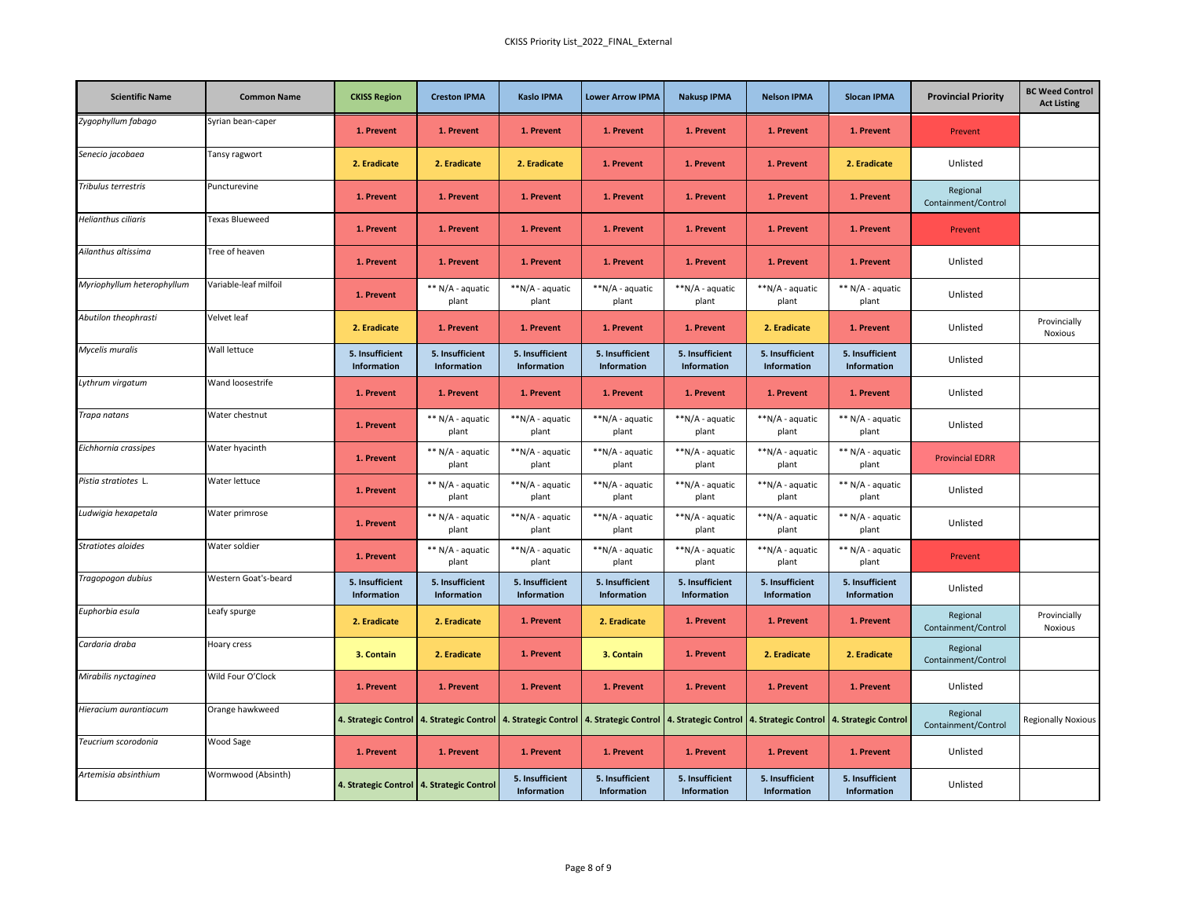| <b>Scientific Name</b>     | <b>Common Name</b>    | <b>CKISS Region</b>            | <b>Creston IPMA</b>                       | <b>Kaslo IPMA</b>              | <b>Lower Arrow IPMA</b>                                                                                                                                                               | <b>Nakusp IPMA</b>             | <b>Nelson IPMA</b>             | <b>Slocan IPMA</b>             | <b>Provincial Priority</b>      | <b>BC Weed Control</b><br><b>Act Listing</b> |
|----------------------------|-----------------------|--------------------------------|-------------------------------------------|--------------------------------|---------------------------------------------------------------------------------------------------------------------------------------------------------------------------------------|--------------------------------|--------------------------------|--------------------------------|---------------------------------|----------------------------------------------|
| Zygophyllum fabago         | Syrian bean-caper     | 1. Prevent                     | 1. Prevent                                | 1. Prevent                     | 1. Prevent                                                                                                                                                                            | 1. Prevent                     | 1. Prevent                     | 1. Prevent                     | Prevent                         |                                              |
| Senecio jacobaea           | Tansy ragwort         | 2. Eradicate                   | 2. Eradicate                              | 2. Eradicate                   | 1. Prevent                                                                                                                                                                            | 1. Prevent                     | 1. Prevent                     | 2. Eradicate                   | Unlisted                        |                                              |
| Tribulus terrestris        | Puncturevine          | 1. Prevent                     | 1. Prevent                                | 1. Prevent                     | 1. Prevent                                                                                                                                                                            | 1. Prevent                     | 1. Prevent                     | 1. Prevent                     | Regional<br>Containment/Control |                                              |
| Helianthus ciliaris        | <b>Texas Blueweed</b> | 1. Prevent                     | 1. Prevent                                | 1. Prevent                     | 1. Prevent                                                                                                                                                                            | 1. Prevent                     | 1. Prevent                     | 1. Prevent                     | Prevent                         |                                              |
| Ailanthus altissima        | Tree of heaven        | 1. Prevent                     | 1. Prevent                                | 1. Prevent                     | 1. Prevent                                                                                                                                                                            | 1. Prevent                     | 1. Prevent                     | 1. Prevent                     | Unlisted                        |                                              |
| Myriophyllum heterophyllum | Variable-leaf milfoil | 1. Prevent                     | ** N/A - aquatic<br>plant                 | **N/A - aquatic<br>plant       | **N/A - aquatic<br>plant                                                                                                                                                              | **N/A - aquatic<br>plant       | **N/A - aquatic<br>plant       | ** N/A - aquatic<br>plant      | Unlisted                        |                                              |
| Abutilon theophrasti       | Velvet leaf           | 2. Eradicate                   | 1. Prevent                                | 1. Prevent                     | 1. Prevent                                                                                                                                                                            | 1. Prevent                     | 2. Eradicate                   | 1. Prevent                     | Unlisted                        | Provincially<br><b>Noxious</b>               |
| Mycelis muralis            | Wall lettuce          | 5. Insufficient<br>Information | 5. Insufficient<br>Information            | 5. Insufficient<br>Information | 5. Insufficient<br>Information                                                                                                                                                        | 5. Insufficient<br>Information | 5. Insufficient<br>Information | 5. Insufficient<br>Information | Unlisted                        |                                              |
| Lythrum virgatum           | Wand loosestrife      | 1. Prevent                     | 1. Prevent                                | 1. Prevent                     | 1. Prevent                                                                                                                                                                            | 1. Prevent                     | 1. Prevent                     | 1. Prevent                     | Unlisted                        |                                              |
| Trapa natans               | Water chestnut        | 1. Prevent                     | ** N/A - aquatic<br>plant                 | **N/A - aquatic<br>plant       | **N/A - aquatic<br>plant                                                                                                                                                              | **N/A - aquatic<br>plant       | **N/A - aquatic<br>plant       | ** N/A - aquatic<br>plant      | Unlisted                        |                                              |
| Eichhornia crassipes       | Water hyacinth        | 1. Prevent                     | ** N/A - aquatic<br>plant                 | **N/A - aquatic<br>plant       | **N/A - aquatic<br>plant                                                                                                                                                              | **N/A - aquatic<br>plant       | **N/A - aquatic<br>plant       | ** N/A - aquatic<br>plant      | <b>Provincial EDRR</b>          |                                              |
| Pistia stratiotes L.       | Water lettuce         | 1. Prevent                     | ** N/A - aquatic<br>plant                 | **N/A - aquatic<br>plant       | **N/A - aquatic<br>plant                                                                                                                                                              | **N/A - aquatic<br>plant       | **N/A - aquatic<br>plant       | ** N/A - aquatic<br>plant      | Unlisted                        |                                              |
| Ludwigia hexapetala        | Water primrose        | 1. Prevent                     | ** N/A - aquatic<br>plant                 | **N/A - aquatic<br>plant       | **N/A - aquatic<br>plant                                                                                                                                                              | **N/A - aquatic<br>plant       | **N/A - aquatic<br>plant       | ** N/A - aquatic<br>plant      | Unlisted                        |                                              |
| Stratiotes aloides         | Water soldier         | 1. Prevent                     | ** N/A - aquatic<br>plant                 | **N/A - aquatic<br>plant       | **N/A - aquatic<br>plant                                                                                                                                                              | **N/A - aquatic<br>plant       | **N/A - aquatic<br>plant       | ** N/A - aquatic<br>plant      | Prevent                         |                                              |
| Tragopogon dubius          | Western Goat's-beard  | 5. Insufficient<br>Information | 5. Insufficient<br>Information            | 5. Insufficient<br>Information | 5. Insufficient<br>Information                                                                                                                                                        | 5. Insufficient<br>Information | 5. Insufficient<br>Information | 5. Insufficient<br>Information | Unlisted                        |                                              |
| Euphorbia esula            | Leafy spurge          | 2. Eradicate                   | 2. Eradicate                              | 1. Prevent                     | 2. Eradicate                                                                                                                                                                          | 1. Prevent                     | 1. Prevent                     | 1. Prevent                     | Regional<br>Containment/Control | Provincially<br>Noxious                      |
| Cardaria draba             | Hoary cress           | 3. Contain                     | 2. Eradicate                              | 1. Prevent                     | 3. Contain                                                                                                                                                                            | 1. Prevent                     | 2. Eradicate                   | 2. Eradicate                   | Regional<br>Containment/Control |                                              |
| Mirabilis nyctaginea       | Wild Four O'Clock     | 1. Prevent                     | 1. Prevent                                | 1. Prevent                     | 1. Prevent                                                                                                                                                                            | 1. Prevent                     | 1. Prevent                     | 1. Prevent                     | Unlisted                        |                                              |
| Hieracium aurantiacum      | Orange hawkweed       |                                |                                           |                                | 4. Strategic Control   4. Strategic Control   4. Strategic Control   4. Strategic Control   4. Strategic Control   4. Strategic Control   4. Strategic Control   4. Strategic Control |                                |                                |                                | Regional<br>Containment/Control | <b>Regionally Noxious</b>                    |
| Teucrium scorodonia        | Wood Sage             | 1. Prevent                     | 1. Prevent                                | 1. Prevent                     | 1. Prevent                                                                                                                                                                            | 1. Prevent                     | 1. Prevent                     | 1. Prevent                     | Unlisted                        |                                              |
| Artemisia absinthium       | Wormwood (Absinth)    |                                | 4. Strategic Control 4. Strategic Control | 5. Insufficient<br>Information | 5. Insufficient<br>Information                                                                                                                                                        | 5. Insufficient<br>Information | 5. Insufficient<br>Information | 5. Insufficient<br>Information | Unlisted                        |                                              |